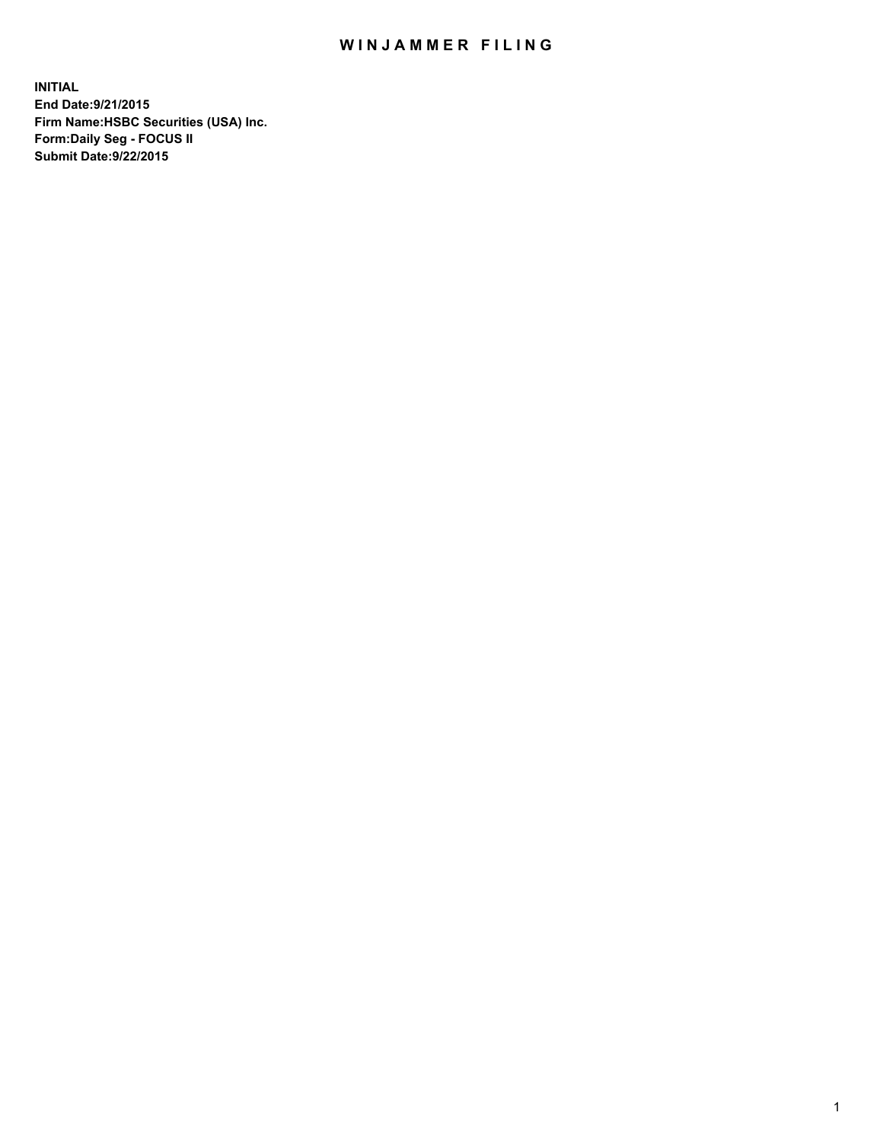## WIN JAMMER FILING

**INITIAL End Date:9/21/2015 Firm Name:HSBC Securities (USA) Inc. Form:Daily Seg - FOCUS II Submit Date:9/22/2015**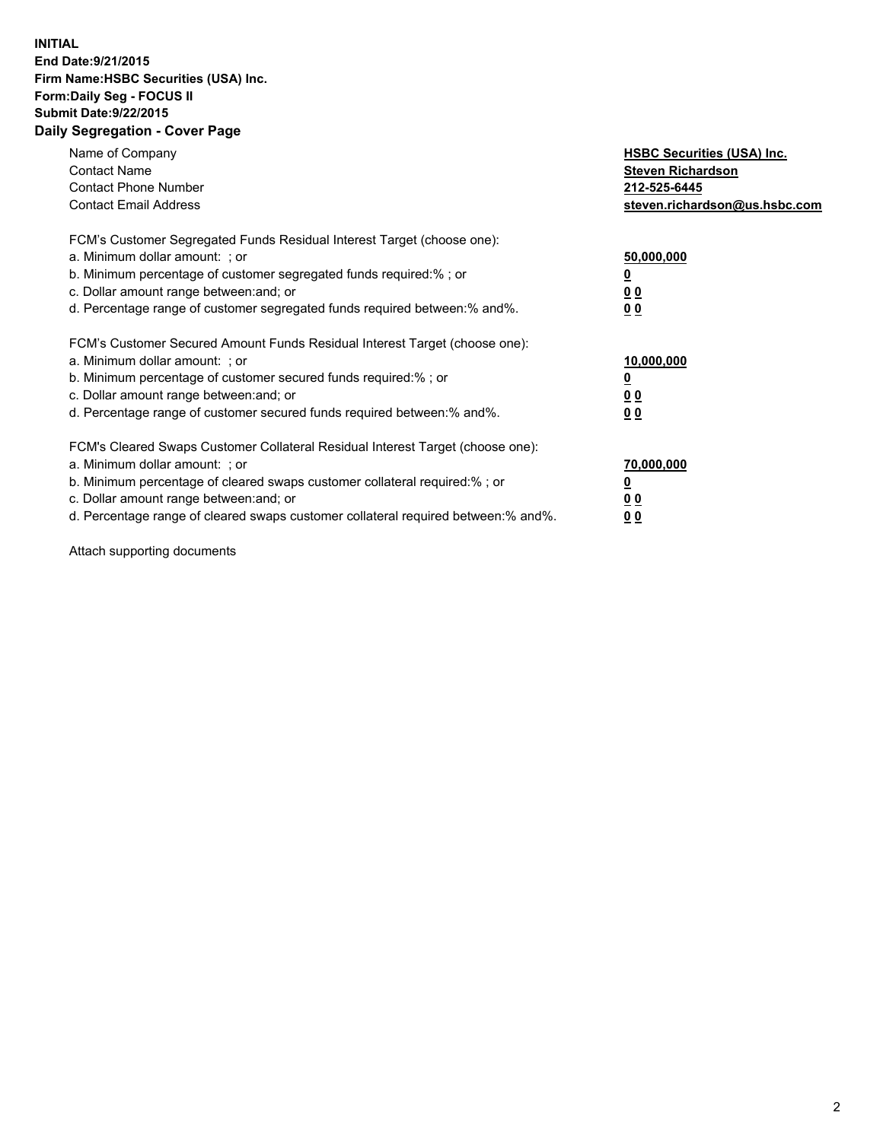## **INITIAL End Date:9/21/2015 Firm Name:HSBC Securities (USA) Inc. Form:Daily Seg - FOCUS II Submit Date:9/22/2015 Daily Segregation - Cover Page**

| Name of Company<br><b>Contact Name</b><br><b>Contact Phone Number</b><br><b>Contact Email Address</b>                                                                                                                                                                                                                          | <b>HSBC Securities (USA) Inc.</b><br><b>Steven Richardson</b><br>212-525-6445<br>steven.richardson@us.hsbc.com |
|--------------------------------------------------------------------------------------------------------------------------------------------------------------------------------------------------------------------------------------------------------------------------------------------------------------------------------|----------------------------------------------------------------------------------------------------------------|
| FCM's Customer Segregated Funds Residual Interest Target (choose one):<br>a. Minimum dollar amount: ; or<br>b. Minimum percentage of customer segregated funds required:%; or<br>c. Dollar amount range between: and; or<br>d. Percentage range of customer segregated funds required between: % and %.                        | 50,000,000<br>0 <sub>0</sub><br>0 <sub>0</sub>                                                                 |
| FCM's Customer Secured Amount Funds Residual Interest Target (choose one):<br>a. Minimum dollar amount: ; or<br>b. Minimum percentage of customer secured funds required:%; or<br>c. Dollar amount range between: and; or<br>d. Percentage range of customer secured funds required between:% and%.                            | 10,000,000<br><u>0</u><br>0 <sub>0</sub><br>0 <sub>0</sub>                                                     |
| FCM's Cleared Swaps Customer Collateral Residual Interest Target (choose one):<br>a. Minimum dollar amount: ; or<br>b. Minimum percentage of cleared swaps customer collateral required:% ; or<br>c. Dollar amount range between: and; or<br>d. Percentage range of cleared swaps customer collateral required between:% and%. | 70,000,000<br>00<br><u>00</u>                                                                                  |

Attach supporting documents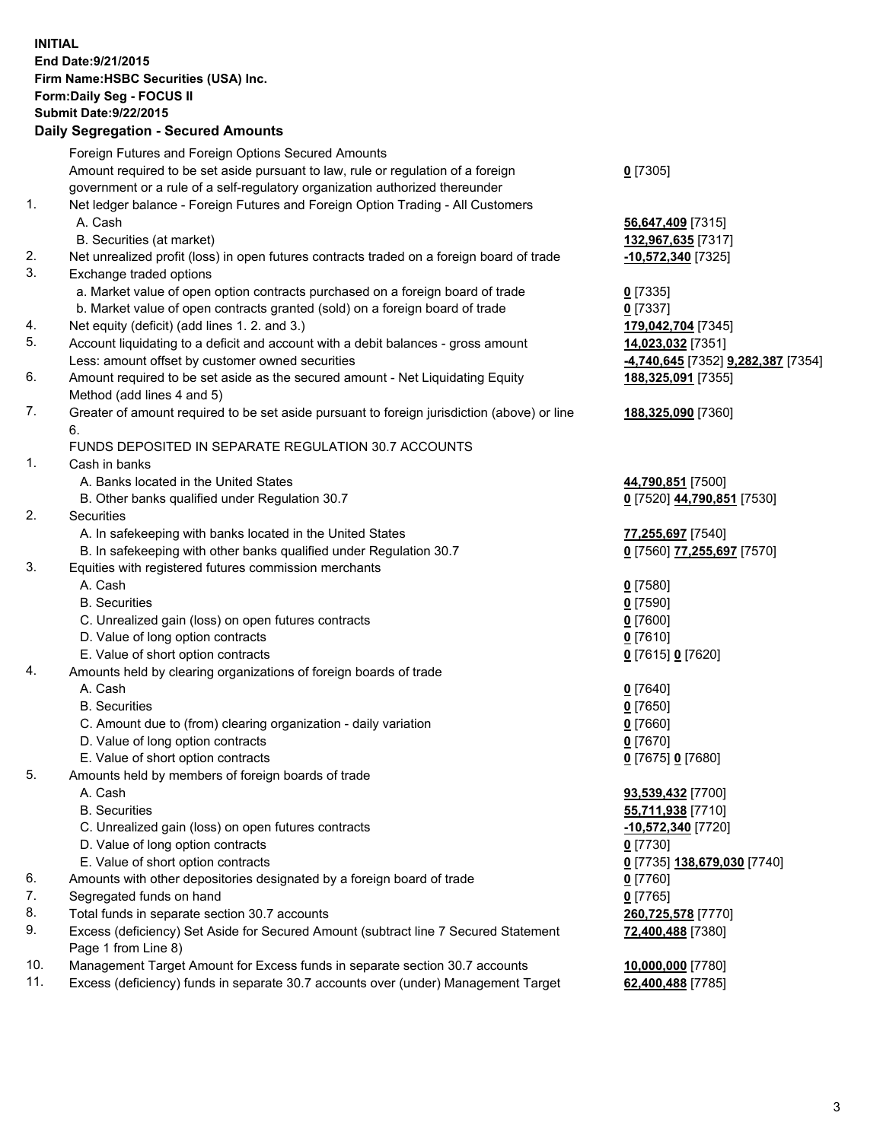**INITIAL End Date:9/21/2015 Firm Name:HSBC Securities (USA) Inc. Form:Daily Seg - FOCUS II Submit Date:9/22/2015 Daily Segregation - Secured Amounts**

Foreign Futures and Foreign Options Secured Amounts Amount required to be set aside pursuant to law, rule or regulation of a foreign government or a rule of a self-regulatory organization authorized thereunder **0** [7305] 1. Net ledger balance - Foreign Futures and Foreign Option Trading - All Customers A. Cash **56,647,409** [7315] B. Securities (at market) **132,967,635** [7317] 2. Net unrealized profit (loss) in open futures contracts traded on a foreign board of trade **-10,572,340** [7325] 3. Exchange traded options a. Market value of open option contracts purchased on a foreign board of trade **0** [7335] b. Market value of open contracts granted (sold) on a foreign board of trade **0** [7337] 4. Net equity (deficit) (add lines 1. 2. and 3.) **179,042,704** [7345] 5. Account liquidating to a deficit and account with a debit balances - gross amount **14,023,032** [7351] Less: amount offset by customer owned securities **-4,740,645** [7352] **9,282,387** [7354] 6. Amount required to be set aside as the secured amount - Net Liquidating Equity Method (add lines 4 and 5) **188,325,091** [7355] 7. Greater of amount required to be set aside pursuant to foreign jurisdiction (above) or line 6. **188,325,090** [7360] FUNDS DEPOSITED IN SEPARATE REGULATION 30.7 ACCOUNTS 1. Cash in banks A. Banks located in the United States **44,790,851** [7500] B. Other banks qualified under Regulation 30.7 **0** [7520] **44,790,851** [7530] 2. Securities A. In safekeeping with banks located in the United States **77,255,697** [7540] B. In safekeeping with other banks qualified under Regulation 30.7 **0** [7560] **77,255,697** [7570] 3. Equities with registered futures commission merchants A. Cash **0** [7580] B. Securities **0** [7590] C. Unrealized gain (loss) on open futures contracts **0** [7600] D. Value of long option contracts **0** [7610] E. Value of short option contracts **0** [7615] **0** [7620] 4. Amounts held by clearing organizations of foreign boards of trade A. Cash **0** [7640] B. Securities **0** [7650] C. Amount due to (from) clearing organization - daily variation **0** [7660] D. Value of long option contracts **0** [7670] E. Value of short option contracts **0** [7675] **0** [7680] 5. Amounts held by members of foreign boards of trade A. Cash **93,539,432** [7700] B. Securities **55,711,938** [7710] C. Unrealized gain (loss) on open futures contracts **-10,572,340** [7720] D. Value of long option contracts **0** [7730] E. Value of short option contracts **0** [7735] **138,679,030** [7740] 6. Amounts with other depositories designated by a foreign board of trade **0** [7760] 7. Segregated funds on hand **0** [7765] 8. Total funds in separate section 30.7 accounts **260,725,578** [7770] 9. Excess (deficiency) Set Aside for Secured Amount (subtract line 7 Secured Statement Page 1 from Line 8) **72,400,488** [7380] 10. Management Target Amount for Excess funds in separate section 30.7 accounts **10,000,000** [7780] 11. Excess (deficiency) funds in separate 30.7 accounts over (under) Management Target **62,400,488** [7785]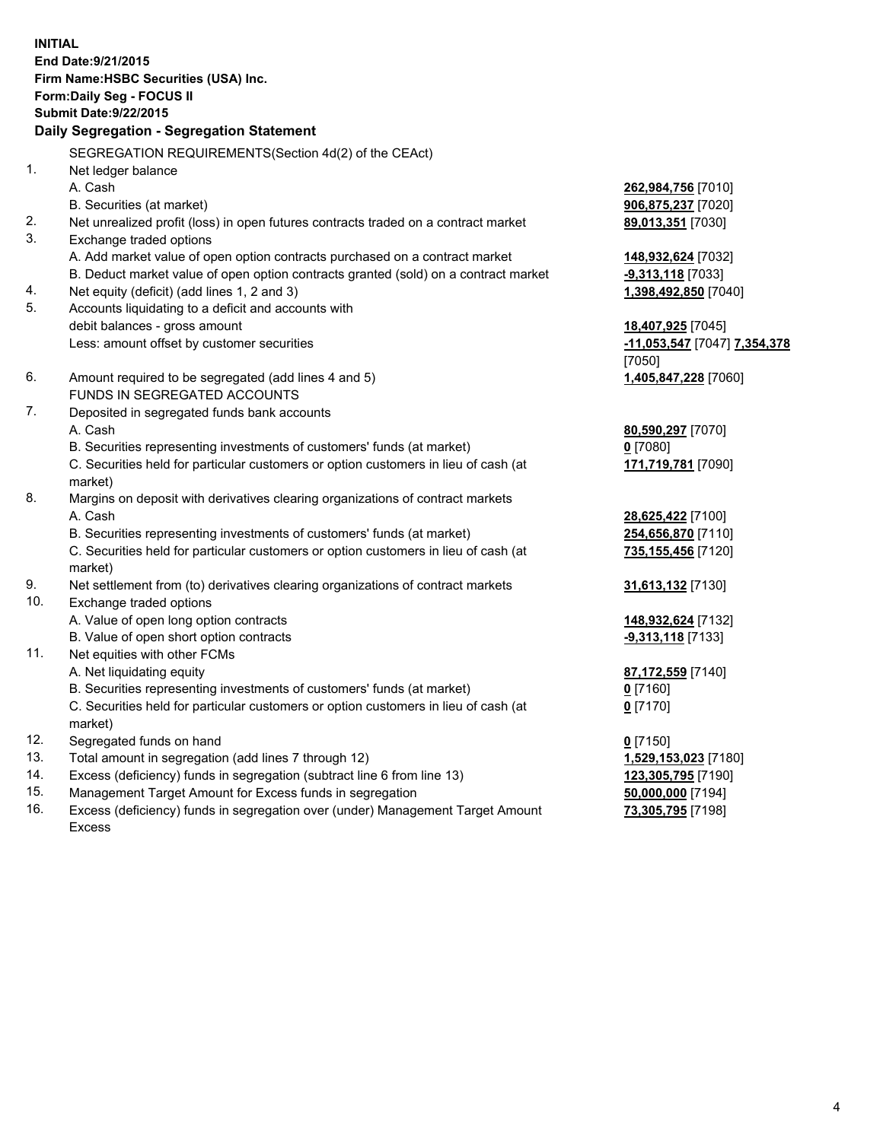**INITIAL End Date:9/21/2015 Firm Name:HSBC Securities (USA) Inc. Form:Daily Seg - FOCUS II Submit Date:9/22/2015 Daily Segregation - Segregation Statement** SEGREGATION REQUIREMENTS(Section 4d(2) of the CEAct) 1. Net ledger balance A. Cash **262,984,756** [7010] B. Securities (at market) **906,875,237** [7020] 2. Net unrealized profit (loss) in open futures contracts traded on a contract market **89,013,351** [7030] 3. Exchange traded options A. Add market value of open option contracts purchased on a contract market **148,932,624** [7032] B. Deduct market value of open option contracts granted (sold) on a contract market **-9,313,118** [7033] 4. Net equity (deficit) (add lines 1, 2 and 3) **1,398,492,850** [7040] 5. Accounts liquidating to a deficit and accounts with debit balances - gross amount **18,407,925** [7045] Less: amount offset by customer securities **-11,053,547** [7047] **7,354,378** [7050] 6. Amount required to be segregated (add lines 4 and 5) **1,405,847,228** [7060] FUNDS IN SEGREGATED ACCOUNTS 7. Deposited in segregated funds bank accounts A. Cash **80,590,297** [7070] B. Securities representing investments of customers' funds (at market) **0** [7080] C. Securities held for particular customers or option customers in lieu of cash (at market) **171,719,781** [7090] 8. Margins on deposit with derivatives clearing organizations of contract markets A. Cash **28,625,422** [7100] B. Securities representing investments of customers' funds (at market) **254,656,870** [7110] C. Securities held for particular customers or option customers in lieu of cash (at market) **735,155,456** [7120] 9. Net settlement from (to) derivatives clearing organizations of contract markets **31,613,132** [7130] 10. Exchange traded options A. Value of open long option contracts **148,932,624** [7132] B. Value of open short option contracts **-9,313,118** [7133] 11. Net equities with other FCMs A. Net liquidating equity **87,172,559** [7140] B. Securities representing investments of customers' funds (at market) **0** [7160] C. Securities held for particular customers or option customers in lieu of cash (at market) **0** [7170] 12. Segregated funds on hand **0** [7150] 13. Total amount in segregation (add lines 7 through 12) **1,529,153,023** [7180] 14. Excess (deficiency) funds in segregation (subtract line 6 from line 13) **123,305,795** [7190] 15. Management Target Amount for Excess funds in segregation **50,000,000** [7194]

16. Excess (deficiency) funds in segregation over (under) Management Target Amount Excess

**73,305,795** [7198]